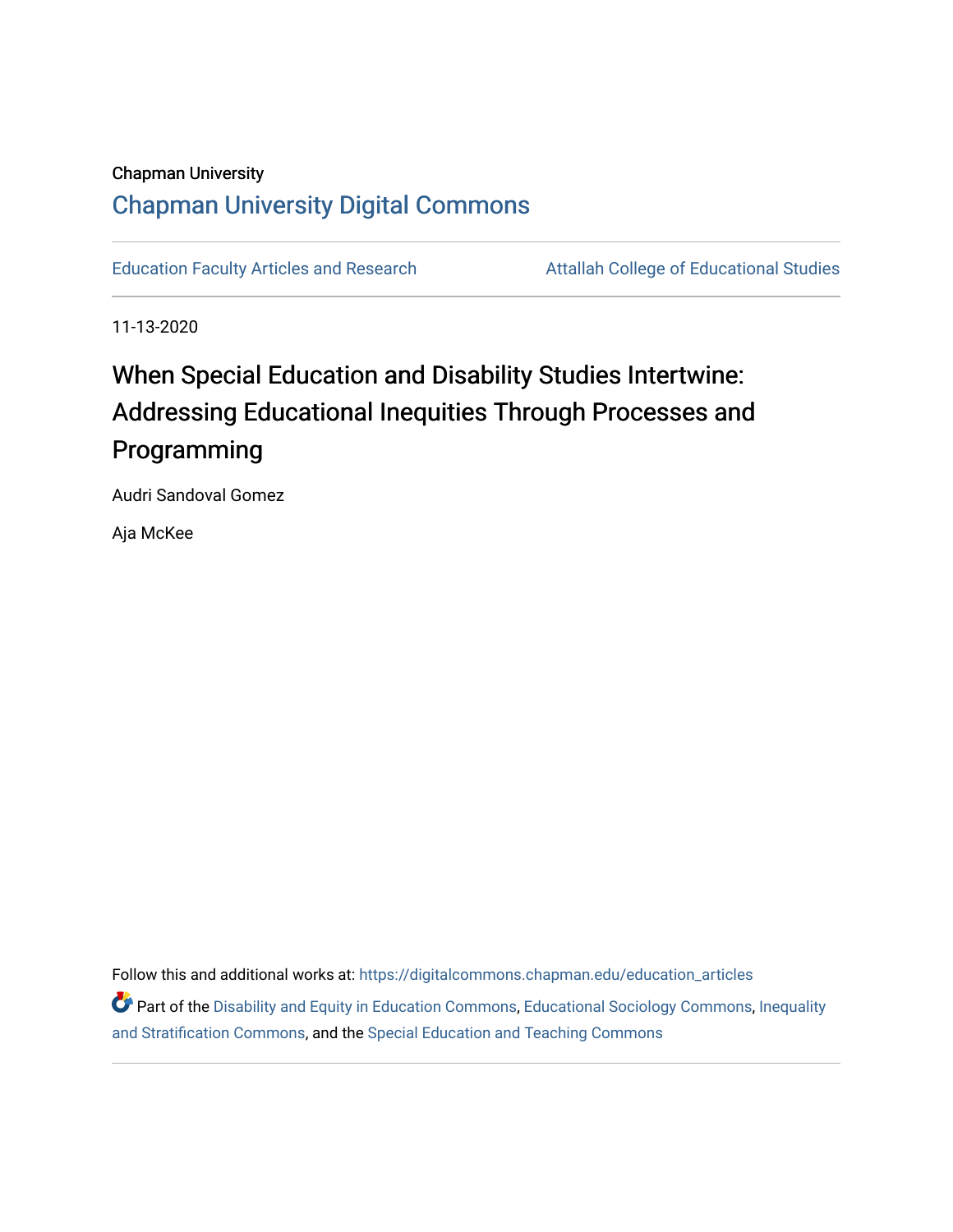## Chapman University [Chapman University Digital Commons](https://digitalcommons.chapman.edu/)

[Education Faculty Articles and Research](https://digitalcommons.chapman.edu/education_articles) **Attallah College of Educational Studies** 

11-13-2020

# When Special Education and Disability Studies Intertwine: Addressing Educational Inequities Through Processes and Programming

Audri Sandoval Gomez

Aja McKee

Follow this and additional works at: [https://digitalcommons.chapman.edu/education\\_articles](https://digitalcommons.chapman.edu/education_articles?utm_source=digitalcommons.chapman.edu%2Feducation_articles%2F308&utm_medium=PDF&utm_campaign=PDFCoverPages)

**C** Part of the [Disability and Equity in Education Commons](http://network.bepress.com/hgg/discipline/1040?utm_source=digitalcommons.chapman.edu%2Feducation_articles%2F308&utm_medium=PDF&utm_campaign=PDFCoverPages), [Educational Sociology Commons](http://network.bepress.com/hgg/discipline/1071?utm_source=digitalcommons.chapman.edu%2Feducation_articles%2F308&utm_medium=PDF&utm_campaign=PDFCoverPages), Inequality [and Stratification Commons](http://network.bepress.com/hgg/discipline/421?utm_source=digitalcommons.chapman.edu%2Feducation_articles%2F308&utm_medium=PDF&utm_campaign=PDFCoverPages), and the [Special Education and Teaching Commons](http://network.bepress.com/hgg/discipline/801?utm_source=digitalcommons.chapman.edu%2Feducation_articles%2F308&utm_medium=PDF&utm_campaign=PDFCoverPages)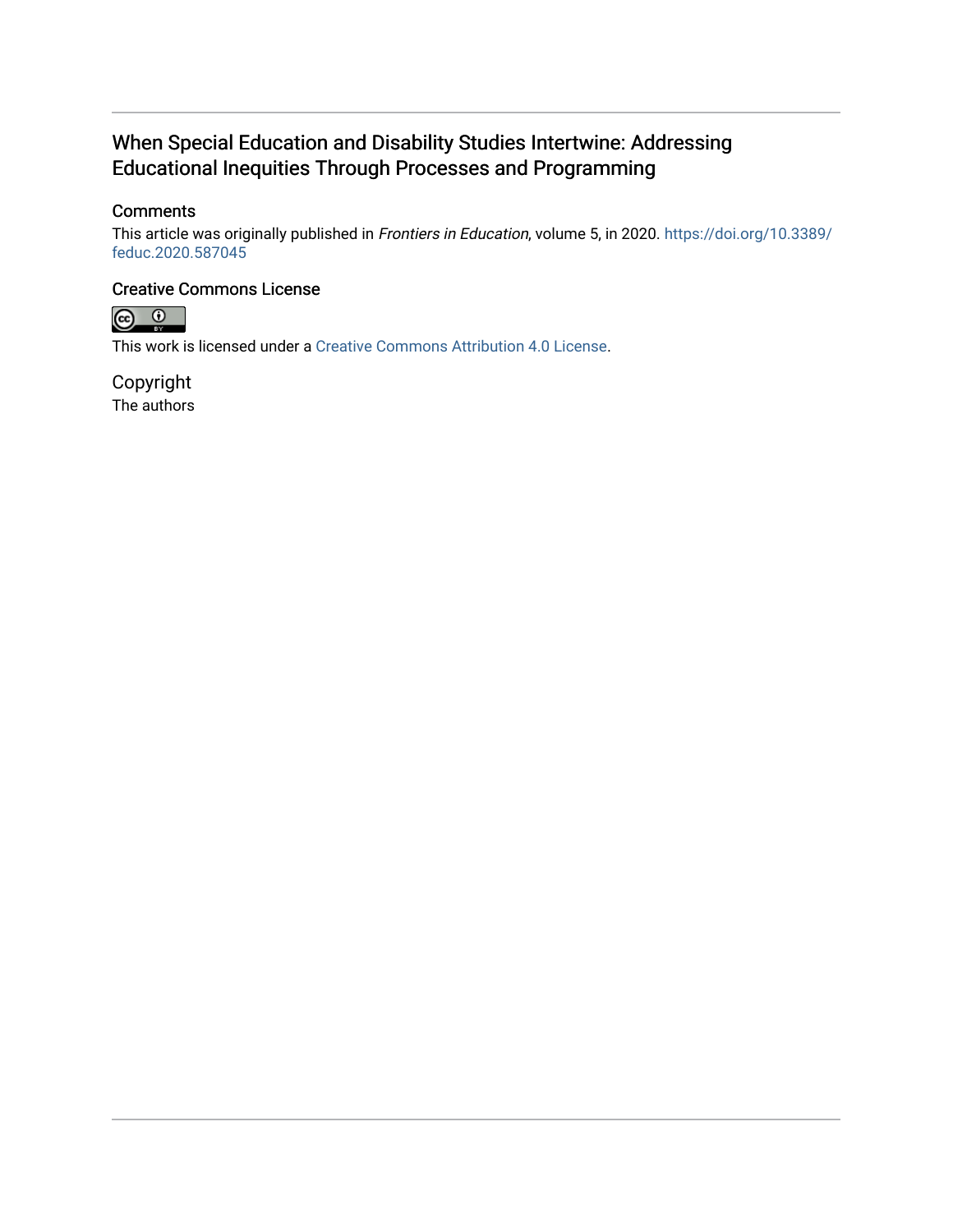## When Special Education and Disability Studies Intertwine: Addressing Educational Inequities Through Processes and Programming

## **Comments**

This article was originally published in Frontiers in Education, volume 5, in 2020. [https://doi.org/10.3389/](https://doi.org/10.3389/feduc.2020.587045) [feduc.2020.587045](https://doi.org/10.3389/feduc.2020.587045)

### Creative Commons License



This work is licensed under a [Creative Commons Attribution 4.0 License](https://creativecommons.org/licenses/by/4.0/).

Copyright The authors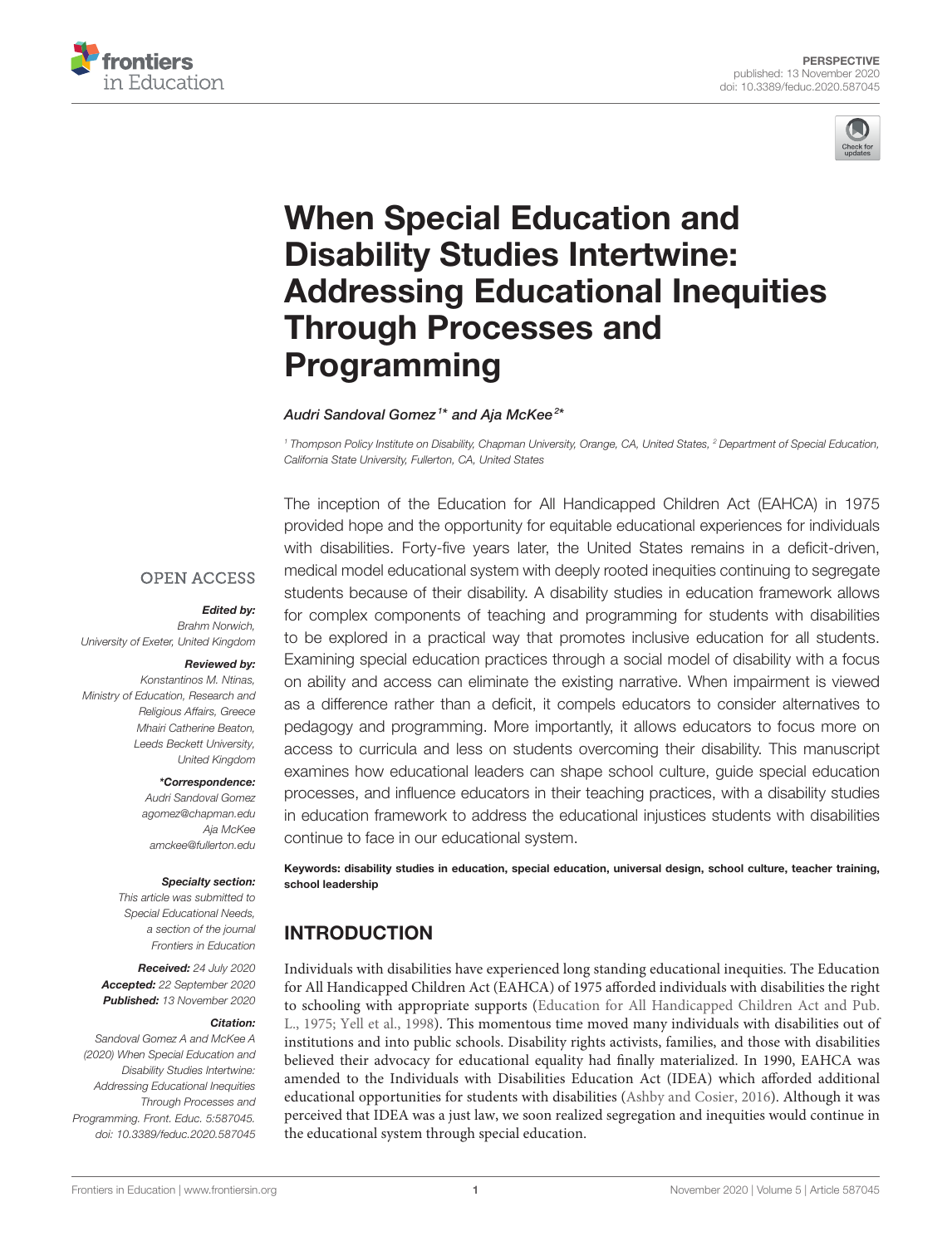



# When Special Education and Disability Studies Intertwine: [Addressing Educational Inequities](https://www.frontiersin.org/articles/10.3389/feduc.2020.587045/full) Through Processes and Programming

Audri Sandoval Gomez <sup>1</sup>\* and Aja McKee <sup>2</sup>\*

*<sup>1</sup> Thompson Policy Institute on Disability, Chapman University, Orange, CA, United States, <sup>2</sup> Department of Special Education, California State University, Fullerton, CA, United States*

**OPEN ACCESS** 

#### Edited by:

*Brahm Norwich, University of Exeter, United Kingdom*

## Reviewed by:

*Konstantinos M. Ntinas, Ministry of Education, Research and Religious Affairs, Greece Mhairi Catherine Beaton, Leeds Beckett University, United Kingdom*

#### \*Correspondence:

*Audri Sandoval Gomez [agomez@chapman.edu](mailto:agomez@chapman.edu) Aja McKee [amckee@fullerton.edu](mailto:amckee@fullerton.edu)*

#### Specialty section:

*This article was submitted to Special Educational Needs, a section of the journal Frontiers in Education*

Received: *24 July 2020* Accepted: *22 September 2020* Published: *13 November 2020*

#### Citation:

*Sandoval Gomez A and McKee A (2020) When Special Education and Disability Studies Intertwine: Addressing Educational Inequities Through Processes and Programming. Front. Educ. 5:587045. doi: [10.3389/feduc.2020.587045](https://doi.org/10.3389/feduc.2020.587045)*

The inception of the Education for All Handicapped Children Act (EAHCA) in 1975 provided hope and the opportunity for equitable educational experiences for individuals with disabilities. Forty-five years later, the United States remains in a deficit-driven, medical model educational system with deeply rooted inequities continuing to segregate students because of their disability. A disability studies in education framework allows for complex components of teaching and programming for students with disabilities to be explored in a practical way that promotes inclusive education for all students. Examining special education practices through a social model of disability with a focus on ability and access can eliminate the existing narrative. When impairment is viewed as a difference rather than a deficit, it compels educators to consider alternatives to pedagogy and programming. More importantly, it allows educators to focus more on access to curricula and less on students overcoming their disability. This manuscript examines how educational leaders can shape school culture, guide special education processes, and influence educators in their teaching practices, with a disability studies in education framework to address the educational injustices students with disabilities continue to face in our educational system.

Keywords: disability studies in education, special education, universal design, school culture, teacher training, school leadership

## INTRODUCTION

Individuals with disabilities have experienced long standing educational inequities. The Education for All Handicapped Children Act (EAHCA) of 1975 afforded individuals with disabilities the right to schooling with appropriate supports (Education for All Handicapped Children Act and Pub. L., [1975;](#page-5-0) [Yell et al., 1998\)](#page-6-0). This momentous time moved many individuals with disabilities out of institutions and into public schools. Disability rights activists, families, and those with disabilities believed their advocacy for educational equality had finally materialized. In 1990, EAHCA was amended to the Individuals with Disabilities Education Act (IDEA) which afforded additional educational opportunities for students with disabilities [\(Ashby and Cosier, 2016\)](#page-5-1). Although it was perceived that IDEA was a just law, we soon realized segregation and inequities would continue in the educational system through special education.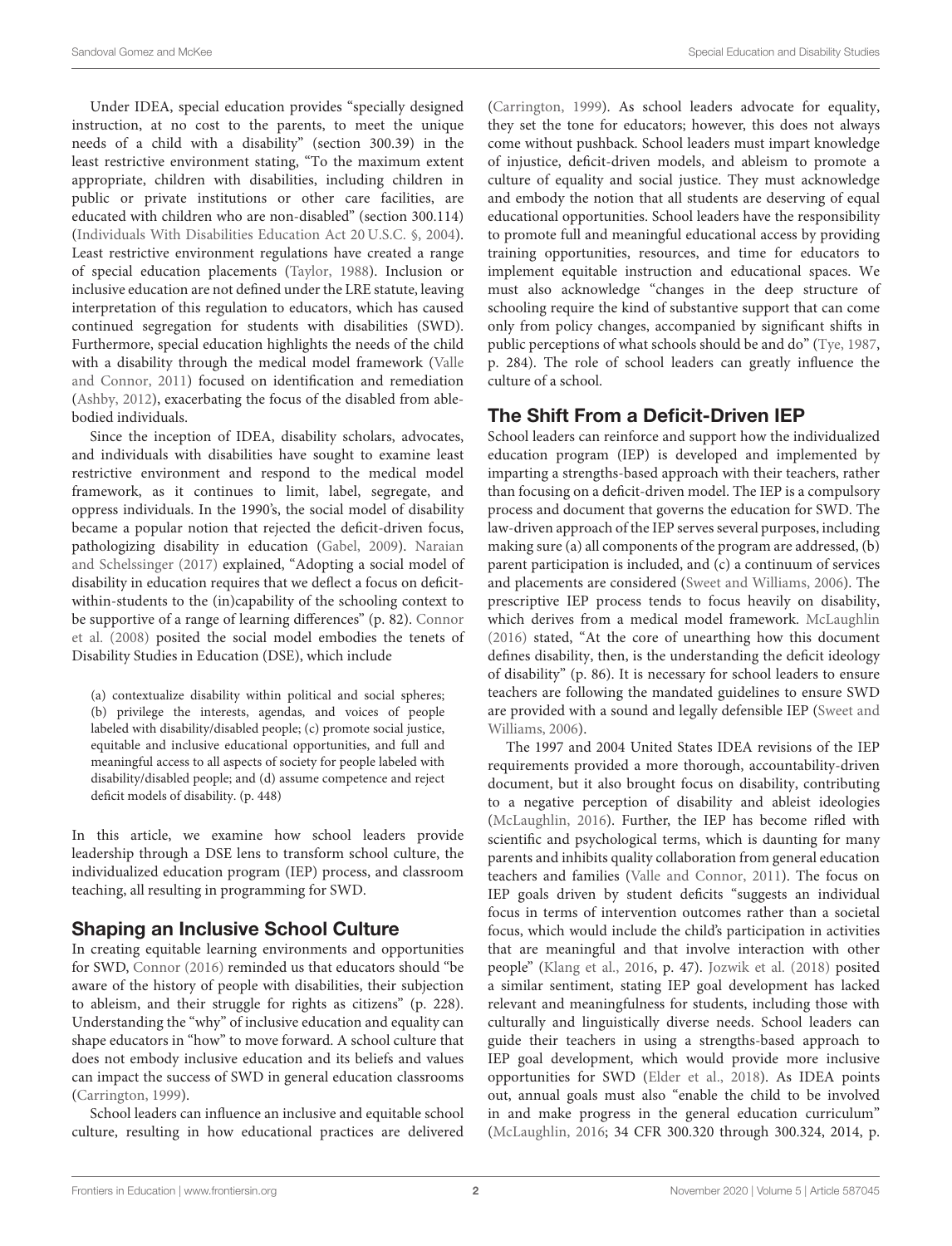Under IDEA, special education provides "specially designed instruction, at no cost to the parents, to meet the unique needs of a child with a disability" (section 300.39) in the least restrictive environment stating, "To the maximum extent appropriate, children with disabilities, including children in public or private institutions or other care facilities, are educated with children who are non-disabled" (section 300.114) [\(Individuals With Disabilities Education Act 20 U.S.C. §, 2004\)](#page-5-2). Least restrictive environment regulations have created a range of special education placements [\(Taylor, 1988\)](#page-6-1). Inclusion or inclusive education are not defined under the LRE statute, leaving interpretation of this regulation to educators, which has caused continued segregation for students with disabilities (SWD). Furthermore, special education highlights the needs of the child with a disability through the medical model framework (Valle and Connor, [2011\)](#page-6-2) focused on identification and remediation [\(Ashby, 2012\)](#page-5-3), exacerbating the focus of the disabled from ablebodied individuals.

Since the inception of IDEA, disability scholars, advocates, and individuals with disabilities have sought to examine least restrictive environment and respond to the medical model framework, as it continues to limit, label, segregate, and oppress individuals. In the 1990's, the social model of disability became a popular notion that rejected the deficit-driven focus, pathologizing disability in education [\(Gabel, 2009\)](#page-5-4). Naraian and Schelssinger [\(2017\)](#page-6-3) explained, "Adopting a social model of disability in education requires that we deflect a focus on deficitwithin-students to the (in)capability of the schooling context to be supportive of a range of learning differences" (p. 82). Connor et al. [\(2008\)](#page-5-5) posited the social model embodies the tenets of Disability Studies in Education (DSE), which include

(a) contextualize disability within political and social spheres; (b) privilege the interests, agendas, and voices of people labeled with disability/disabled people; (c) promote social justice, equitable and inclusive educational opportunities, and full and meaningful access to all aspects of society for people labeled with disability/disabled people; and (d) assume competence and reject deficit models of disability. (p. 448)

In this article, we examine how school leaders provide leadership through a DSE lens to transform school culture, the individualized education program (IEP) process, and classroom teaching, all resulting in programming for SWD.

## Shaping an Inclusive School Culture

In creating equitable learning environments and opportunities for SWD, [Connor \(2016\)](#page-5-6) reminded us that educators should "be aware of the history of people with disabilities, their subjection to ableism, and their struggle for rights as citizens" (p. 228). Understanding the "why" of inclusive education and equality can shape educators in "how" to move forward. A school culture that does not embody inclusive education and its beliefs and values can impact the success of SWD in general education classrooms [\(Carrington, 1999\)](#page-5-7).

School leaders can influence an inclusive and equitable school culture, resulting in how educational practices are delivered [\(Carrington, 1999\)](#page-5-7). As school leaders advocate for equality, they set the tone for educators; however, this does not always come without pushback. School leaders must impart knowledge of injustice, deficit-driven models, and ableism to promote a culture of equality and social justice. They must acknowledge and embody the notion that all students are deserving of equal educational opportunities. School leaders have the responsibility to promote full and meaningful educational access by providing training opportunities, resources, and time for educators to implement equitable instruction and educational spaces. We must also acknowledge "changes in the deep structure of schooling require the kind of substantive support that can come only from policy changes, accompanied by significant shifts in public perceptions of what schools should be and do" [\(Tye, 1987,](#page-6-4) p. 284). The role of school leaders can greatly influence the culture of a school.

## The Shift From a Deficit-Driven IEP

School leaders can reinforce and support how the individualized education program (IEP) is developed and implemented by imparting a strengths-based approach with their teachers, rather than focusing on a deficit-driven model. The IEP is a compulsory process and document that governs the education for SWD. The law-driven approach of the IEP serves several purposes, including making sure (a) all components of the program are addressed, (b) parent participation is included, and (c) a continuum of services and placements are considered [\(Sweet and Williams, 2006\)](#page-6-5). The prescriptive IEP process tends to focus heavily on disability, which derives from a medical model framework. [McLaughlin](#page-5-8) [\(2016\)](#page-5-8) stated, "At the core of unearthing how this document defines disability, then, is the understanding the deficit ideology of disability" (p. 86). It is necessary for school leaders to ensure teachers are following the mandated guidelines to ensure SWD are provided with a sound and legally defensible IEP (Sweet and Williams, [2006\)](#page-6-5).

The 1997 and 2004 United States IDEA revisions of the IEP requirements provided a more thorough, accountability-driven document, but it also brought focus on disability, contributing to a negative perception of disability and ableist ideologies [\(McLaughlin, 2016\)](#page-5-8). Further, the IEP has become rifled with scientific and psychological terms, which is daunting for many parents and inhibits quality collaboration from general education teachers and families [\(Valle and Connor, 2011\)](#page-6-2). The focus on IEP goals driven by student deficits "suggests an individual focus in terms of intervention outcomes rather than a societal focus, which would include the child's participation in activities that are meaningful and that involve interaction with other people" [\(Klang et al., 2016,](#page-5-9) p. 47). [Jozwik et al. \(2018\)](#page-5-10) posited a similar sentiment, stating IEP goal development has lacked relevant and meaningfulness for students, including those with culturally and linguistically diverse needs. School leaders can guide their teachers in using a strengths-based approach to IEP goal development, which would provide more inclusive opportunities for SWD [\(Elder et al., 2018\)](#page-5-11). As IDEA points out, annual goals must also "enable the child to be involved in and make progress in the general education curriculum" [\(McLaughlin, 2016;](#page-5-8) 34 CFR 300.320 through 300.324, 2014, p.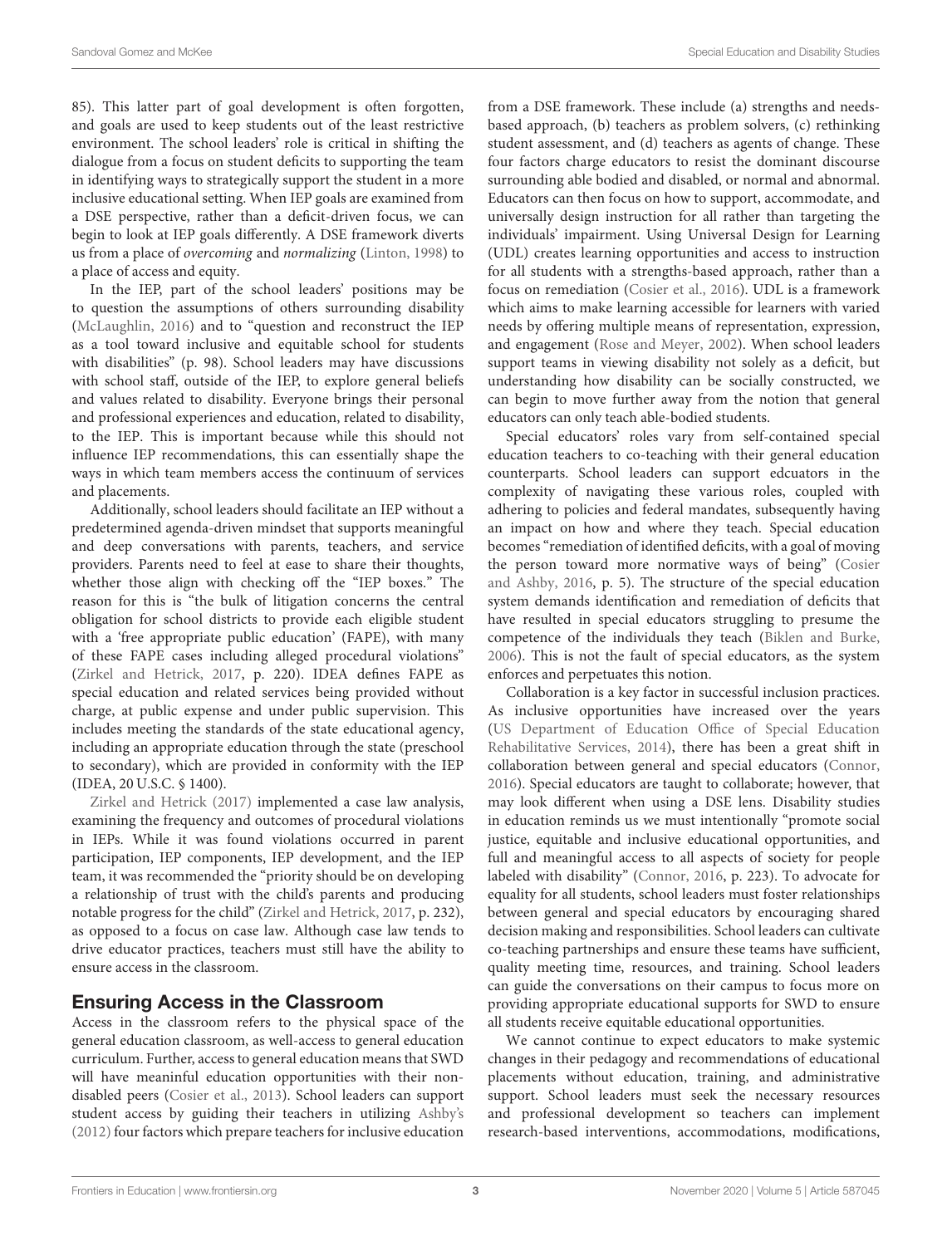85). This latter part of goal development is often forgotten, and goals are used to keep students out of the least restrictive environment. The school leaders' role is critical in shifting the dialogue from a focus on student deficits to supporting the team in identifying ways to strategically support the student in a more inclusive educational setting. When IEP goals are examined from a DSE perspective, rather than a deficit-driven focus, we can begin to look at IEP goals differently. A DSE framework diverts us from a place of overcoming and normalizing [\(Linton, 1998\)](#page-5-12) to a place of access and equity.

In the IEP, part of the school leaders' positions may be to question the assumptions of others surrounding disability [\(McLaughlin, 2016\)](#page-5-8) and to "question and reconstruct the IEP as a tool toward inclusive and equitable school for students with disabilities" (p. 98). School leaders may have discussions with school staff, outside of the IEP, to explore general beliefs and values related to disability. Everyone brings their personal and professional experiences and education, related to disability, to the IEP. This is important because while this should not influence IEP recommendations, this can essentially shape the ways in which team members access the continuum of services and placements.

Additionally, school leaders should facilitate an IEP without a predetermined agenda-driven mindset that supports meaningful and deep conversations with parents, teachers, and service providers. Parents need to feel at ease to share their thoughts, whether those align with checking off the "IEP boxes." The reason for this is "the bulk of litigation concerns the central obligation for school districts to provide each eligible student with a 'free appropriate public education' (FAPE), with many of these FAPE cases including alleged procedural violations" [\(Zirkel and Hetrick, 2017,](#page-6-6) p. 220). IDEA defines FAPE as special education and related services being provided without charge, at public expense and under public supervision. This includes meeting the standards of the state educational agency, including an appropriate education through the state (preschool to secondary), which are provided in conformity with the IEP (IDEA, 20 U.S.C. § 1400).

[Zirkel and Hetrick \(2017\)](#page-6-6) implemented a case law analysis, examining the frequency and outcomes of procedural violations in IEPs. While it was found violations occurred in parent participation, IEP components, IEP development, and the IEP team, it was recommended the "priority should be on developing a relationship of trust with the child's parents and producing notable progress for the child" [\(Zirkel and Hetrick, 2017,](#page-6-6) p. 232), as opposed to a focus on case law. Although case law tends to drive educator practices, teachers must still have the ability to ensure access in the classroom.

## Ensuring Access in the Classroom

Access in the classroom refers to the physical space of the general education classroom, as well-access to general education curriculum. Further, access to general education means that SWD will have meaninful education opportunities with their nondisabled peers [\(Cosier et al., 2013\)](#page-5-13). School leaders can support student access by guiding their teachers in utilizing [Ashby's](#page-5-3) [\(2012\)](#page-5-3) four factors which prepare teachers for inclusive education from a DSE framework. These include (a) strengths and needsbased approach, (b) teachers as problem solvers, (c) rethinking student assessment, and (d) teachers as agents of change. These four factors charge educators to resist the dominant discourse surrounding able bodied and disabled, or normal and abnormal. Educators can then focus on how to support, accommodate, and universally design instruction for all rather than targeting the individuals' impairment. Using Universal Design for Learning (UDL) creates learning opportunities and access to instruction for all students with a strengths-based approach, rather than a focus on remediation [\(Cosier et al., 2016\)](#page-5-14). UDL is a framework which aims to make learning accessible for learners with varied needs by offering multiple means of representation, expression, and engagement [\(Rose and Meyer, 2002\)](#page-6-7). When school leaders support teams in viewing disability not solely as a deficit, but understanding how disability can be socially constructed, we can begin to move further away from the notion that general educators can only teach able-bodied students.

Special educators' roles vary from self-contained special education teachers to co-teaching with their general education counterparts. School leaders can support edcuators in the complexity of navigating these various roles, coupled with adhering to policies and federal mandates, subsequently having an impact on how and where they teach. Special education becomes "remediation of identified deficits, with a goal of moving the person toward more normative ways of being" (Cosier and Ashby, [2016,](#page-5-15) p. 5). The structure of the special education system demands identification and remediation of deficits that have resulted in special educators struggling to presume the competence of the individuals they teach [\(Biklen and Burke,](#page-5-16) [2006\)](#page-5-16). This is not the fault of special educators, as the system enforces and perpetuates this notion.

Collaboration is a key factor in successful inclusion practices. As inclusive opportunities have increased over the years (US Department of Education Office of Special Education Rehabilitative Services, [2014\)](#page-6-8), there has been a great shift in collaboration between general and special educators [\(Connor,](#page-5-6) [2016\)](#page-5-6). Special educators are taught to collaborate; however, that may look different when using a DSE lens. Disability studies in education reminds us we must intentionally "promote social justice, equitable and inclusive educational opportunities, and full and meaningful access to all aspects of society for people labeled with disability" [\(Connor, 2016,](#page-5-6) p. 223). To advocate for equality for all students, school leaders must foster relationships between general and special educators by encouraging shared decision making and responsibilities. School leaders can cultivate co-teaching partnerships and ensure these teams have sufficient, quality meeting time, resources, and training. School leaders can guide the conversations on their campus to focus more on providing appropriate educational supports for SWD to ensure all students receive equitable educational opportunities.

We cannot continue to expect educators to make systemic changes in their pedagogy and recommendations of educational placements without education, training, and administrative support. School leaders must seek the necessary resources and professional development so teachers can implement research-based interventions, accommodations, modifications,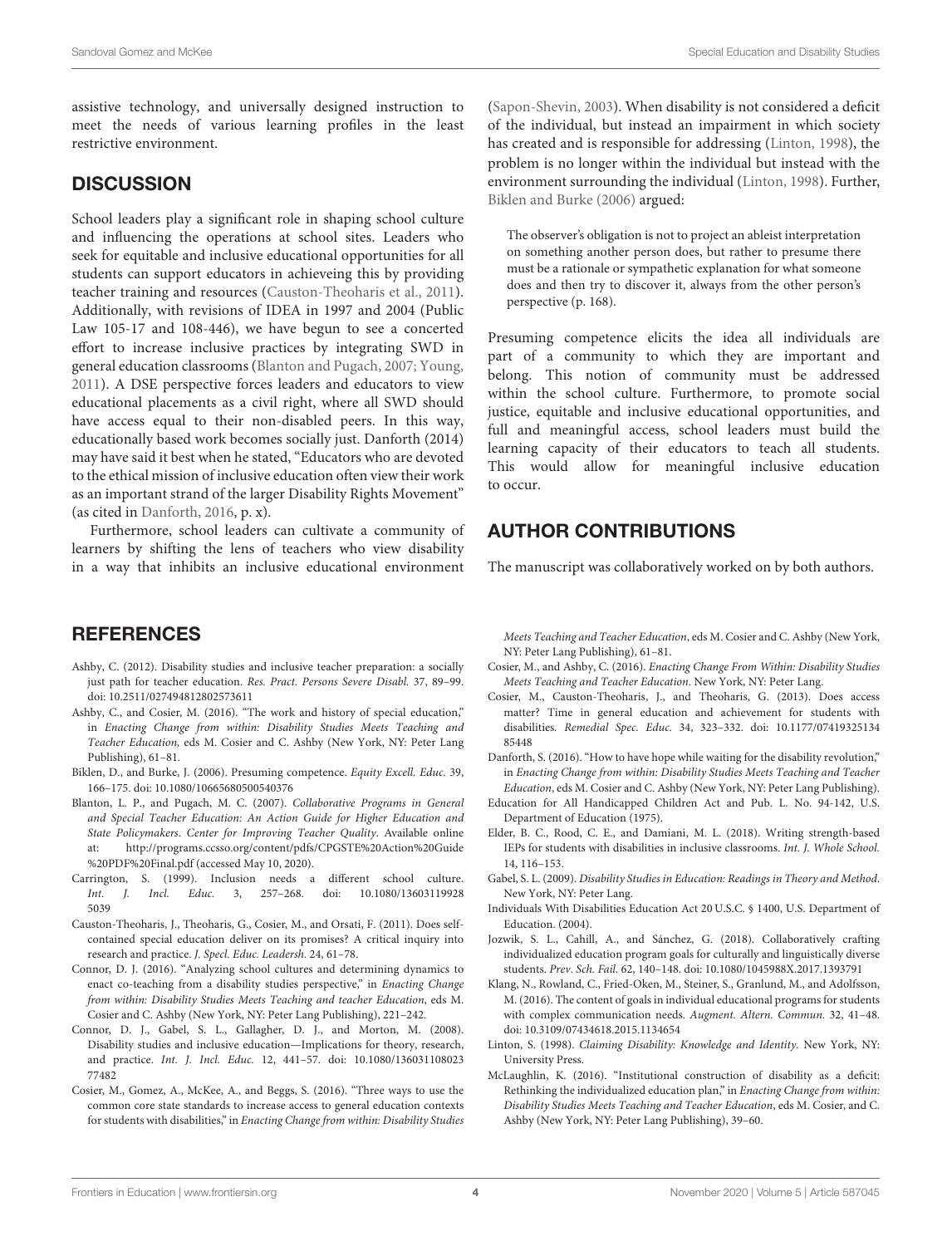assistive technology, and universally designed instruction to meet the needs of various learning profiles in the least restrictive environment.

## **DISCUSSION**

School leaders play a significant role in shaping school culture and influencing the operations at school sites. Leaders who seek for equitable and inclusive educational opportunities for all students can support educators in achieveing this by providing teacher training and resources [\(Causton-Theoharis et al., 2011\)](#page-5-17). Additionally, with revisions of IDEA in 1997 and 2004 (Public Law 105-17 and 108-446), we have begun to see a concerted effort to increase inclusive practices by integrating SWD in general education classrooms [\(Blanton and Pugach, 2007;](#page-5-18) [Young,](#page-6-9) [2011\)](#page-6-9). A DSE perspective forces leaders and educators to view educational placements as a civil right, where all SWD should have access equal to their non-disabled peers. In this way, educationally based work becomes socially just. Danforth (2014) may have said it best when he stated, "Educators who are devoted to the ethical mission of inclusive education often view their work as an important strand of the larger Disability Rights Movement" (as cited in [Danforth, 2016,](#page-5-19) p. x).

Furthermore, school leaders can cultivate a community of learners by shifting the lens of teachers who view disability in a way that inhibits an inclusive educational environment

### **REFERENCES**

- <span id="page-5-3"></span>Ashby, C. (2012). Disability studies and inclusive teacher preparation: a socially just path for teacher education. Res. Pract. Persons Severe Disabl. 37, 89-99. doi: [10.2511/027494812802573611](https://doi.org/10.2511/027494812802573611)
- <span id="page-5-1"></span>Ashby, C., and Cosier, M. (2016). "The work and history of special education," in Enacting Change from within: Disability Studies Meets Teaching and Teacher Education, eds M. Cosier and C. Ashby (New York, NY: Peter Lang Publishing), 61–81.
- <span id="page-5-16"></span>Biklen, D., and Burke, J. (2006). Presuming competence. Equity Excell. Educ. 39, 166–175. doi: [10.1080/10665680500540376](https://doi.org/10.1080/10665680500540376)
- <span id="page-5-18"></span>Blanton, L. P., and Pugach, M. C. (2007). Collaborative Programs in General and Special Teacher Education: An Action Guide for Higher Education and State Policymakers. Center for Improving Teacher Quality. Available online at: [http://programs.ccsso.org/content/pdfs/CPGSTE%20Action%20Guide](http://programs.ccsso.org/content/pdfs/CPGSTE%20Action%20Guide%20PDF%20Final.pdf) [%20PDF%20Final.pdf](http://programs.ccsso.org/content/pdfs/CPGSTE%20Action%20Guide%20PDF%20Final.pdf) (accessed May 10, 2020).
- <span id="page-5-7"></span>Carrington, S. (1999). Inclusion needs a different school culture. Int. J. Incl. Educ. [3, 257–268. doi: 10.1080/13603119928](https://doi.org/10.1080/136031199285039) 5039
- <span id="page-5-17"></span>Causton-Theoharis, J., Theoharis, G., Cosier, M., and Orsati, F. (2011). Does selfcontained special education deliver on its promises? A critical inquiry into research and practice. J. Specl. Educ. Leadersh. 24, 61–78.
- <span id="page-5-6"></span>Connor, D. J. (2016). "Analyzing school cultures and determining dynamics to enact co-teaching from a disability studies perspective," in Enacting Change from within: Disability Studies Meets Teaching and teacher Education, eds M. Cosier and C. Ashby (New York, NY: Peter Lang Publishing), 221–242.
- <span id="page-5-5"></span>Connor, D. J., Gabel, S. L., Gallagher, D. J., and Morton, M. (2008). Disability studies and inclusive education—Implications for theory, research, and practice. Int. J. Incl. Educ. [12, 441–57. doi: 10.1080/136031108023](https://doi.org/10.1080/13603110802377482) 77482
- <span id="page-5-14"></span>Cosier, M., Gomez, A., McKee, A., and Beggs, S. (2016). "Three ways to use the common core state standards to increase access to general education contexts for students with disabilities," in Enacting Change from within: Disability Studies

[\(Sapon-Shevin, 2003\)](#page-6-10). When disability is not considered a deficit of the individual, but instead an impairment in which society has created and is responsible for addressing [\(Linton, 1998\)](#page-5-12), the problem is no longer within the individual but instead with the environment surrounding the individual [\(Linton, 1998\)](#page-5-12). Further, [Biklen and Burke \(2006\)](#page-5-16) argued:

The observer's obligation is not to project an ableist interpretation on something another person does, but rather to presume there must be a rationale or sympathetic explanation for what someone does and then try to discover it, always from the other person's perspective (p. 168).

Presuming competence elicits the idea all individuals are part of a community to which they are important and belong. This notion of community must be addressed within the school culture. Furthermore, to promote social justice, equitable and inclusive educational opportunities, and full and meaningful access, school leaders must build the learning capacity of their educators to teach all students. This would allow for meaningful inclusive education to occur.

## AUTHOR CONTRIBUTIONS

The manuscript was collaboratively worked on by both authors.

Meets Teaching and Teacher Education, eds M. Cosier and C. Ashby (New York, NY: Peter Lang Publishing), 61–81.

- <span id="page-5-15"></span>Cosier, M., and Ashby, C. (2016). Enacting Change From Within: Disability Studies Meets Teaching and Teacher Education. New York, NY: Peter Lang.
- <span id="page-5-13"></span>Cosier, M., Causton-Theoharis, J., and Theoharis, G. (2013). Does access matter? Time in general education and achievement for students with disabilities. Remedial Spec. Educ. [34, 323–332. doi: 10.1177/07419325134](https://doi.org/10.1177/0741932513485448) 85448
- <span id="page-5-19"></span>Danforth, S. (2016). "How to have hope while waiting for the disability revolution," in Enacting Change from within: Disability Studies Meets Teaching and Teacher Education, eds M. Cosier and C. Ashby (New York, NY: Peter Lang Publishing).
- <span id="page-5-0"></span>Education for All Handicapped Children Act and Pub. L. No. 94-142, U.S. Department of Education (1975).
- <span id="page-5-11"></span>Elder, B. C., Rood, C. E., and Damiani, M. L. (2018). Writing strength-based IEPs for students with disabilities in inclusive classrooms. Int. J. Whole School. 14, 116–153.
- <span id="page-5-4"></span>Gabel, S. L. (2009). Disability Studies in Education: Readings in Theory and Method. New York, NY: Peter Lang.
- <span id="page-5-2"></span>Individuals With Disabilities Education Act 20 U.S.C. § 1400, U.S. Department of Education. (2004).
- <span id="page-5-10"></span>Jozwik, S. L., Cahill, A., and Sánchez, G. (2018). Collaboratively crafting individualized education program goals for culturally and linguistically diverse students. Prev. Sch. Fail. 62, 140–148. doi: [10.1080/1045988X.2017.1393791](https://doi.org/10.1080/1045988X.2017.1393791)
- <span id="page-5-9"></span>Klang, N., Rowland, C., Fried-Oken, M., Steiner, S., Granlund, M., and Adolfsson, M. (2016). The content of goals in individual educational programs for students with complex communication needs. Augment. Altern. Commun. 32, 41–48. doi: [10.3109/07434618.2015.1134654](https://doi.org/10.3109/07434618.2015.1134654)
- <span id="page-5-12"></span>Linton, S. (1998). Claiming Disability: Knowledge and Identity. New York, NY: University Press.
- <span id="page-5-8"></span>McLaughlin, K. (2016). "Institutional construction of disability as a deficit: Rethinking the individualized education plan," in Enacting Change from within: Disability Studies Meets Teaching and Teacher Education, eds M. Cosier, and C. Ashby (New York, NY: Peter Lang Publishing), 39–60.